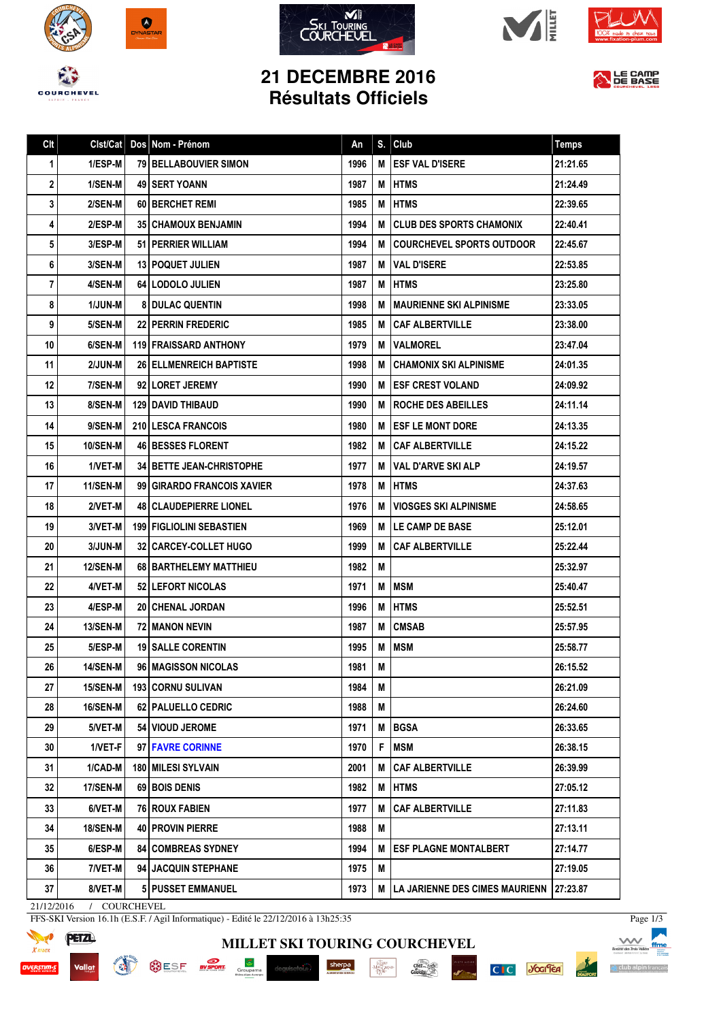









## **21 DECEMBRE 2016 Résultats Officiels**



| Clt | Clst/Cat        | Dos Nom - Prénom                  | An   | S. | Club                                  | <b>Temps</b> |
|-----|-----------------|-----------------------------------|------|----|---------------------------------------|--------------|
| 1   | 1/ESP-M         | 79 BELLABOUVIER SIMON             | 1996 | M  | <b>ESF VAL D'ISERE</b>                | 21:21.65     |
| 2   | 1/SEN-M         | <b>49 I SERT YOANN</b>            | 1987 | М  | <b>IHTMS</b>                          | 21:24.49     |
| 3   | 2/SEN-M         | 60 BERCHET REMI                   | 1985 | М  | <b>I HTMS</b>                         | 22:39.65     |
| 4   | 2/ESP-M         | <b>351 CHAMOUX BENJAMIN</b>       | 1994 | М  | <b>CLUB DES SPORTS CHAMONIX</b>       | 22:40.41     |
| 5   | 3/ESP-M         | 51   PERRIER WILLIAM              | 1994 | M  | <b>COURCHEVEL SPORTS OUTDOOR</b>      | 22:45.67     |
| 6   | 3/SEN-M         | <b>13 POQUET JULIEN</b>           | 1987 | М  | <b>VAL D'ISERE</b>                    | 22:53.85     |
| 7   | 4/SEN-M         | 64 LODOLO JULIEN                  | 1987 | М  | <b>IHTMS</b>                          | 23:25.80     |
| 8   | <b>1/JUN-M</b>  | <b>8 DULAC QUENTIN</b>            | 1998 | м  | <b>MAURIENNE SKI ALPINISME</b>        | 23:33.05     |
| 9   | 5/SEN-M         | <b>22 PERRIN FREDERIC</b>         | 1985 | M  | l CAF ALBERTVILLE                     | 23:38.00     |
| 10  | 6/SEN-M         | 119 FRAISSARD ANTHONY             | 1979 | M  | <b>IVALMOREL</b>                      | 23:47.04     |
| 11  | 2/JUN-M         | <b>26 ELLMENREICH BAPTISTE</b>    | 1998 | М  | <b>CHAMONIX SKI ALPINISME</b>         | 24:01.35     |
| 12  | 7/SEN-M         | 92 LORET JEREMY                   | 1990 | M  | <b>ESF CREST VOLAND</b>               | 24:09.92     |
| 13  | 8/SEN-M         | <b>129 I DAVID THIBAUD</b>        | 1990 | M  | <b>I ROCHE DES ABEILLES</b>           | 24:11.14     |
| 14  | 9/SEN-M         | <b>210 LESCA FRANCOIS</b>         | 1980 | M  | <b>IESF LE MONT DORE</b>              | 24:13.35     |
| 15  | 10/SEN-M        | <b>46 BESSES FLORENT</b>          | 1982 | М  | I CAF ALBERTVILLE                     | 24:15.22     |
| 16  | 1/VET-M         | <b>34 I BETTE JEAN-CHRISTOPHE</b> | 1977 | м  | <b>VAL D'ARVE SKI ALP</b>             | 24:19.57     |
| 17  | 11/SEN-M        | 99 GIRARDO FRANCOIS XAVIER        | 1978 | M  | <b>IHTMS</b>                          | 24:37.63     |
| 18  | 2/VET-M         | <b>48   CLAUDEPIERRE LIONEL</b>   | 1976 | М  | <b>VIOSGES SKI ALPINISME</b>          | 24:58.65     |
| 19  | 3/VET-M         | <b>199 FIGLIOLINI SEBASTIEN</b>   | 1969 | М  | <b>ILE CAMP DE BASE</b>               | 25:12.01     |
| 20  | 3/JUN-M         | <b>32 CARCEY-COLLET HUGO</b>      | 1999 | М  | <b>CAF ALBERTVILLE</b>                | 25:22.44     |
| 21  | <b>12/SEN-M</b> | 68 BARTHELEMY MATTHIEU            | 1982 | M  |                                       | 25:32.97     |
| 22  | 4/VET-M         | 52 LEFORT NICOLAS                 | 1971 | M  | <b>MSM</b>                            | 25:40.47     |
| 23  | 4/ESP-M         | 20 CHENAL JORDAN                  | 1996 | M  | <b>HTMS</b>                           | 25:52.51     |
| 24  | <b>13/SEN-M</b> | 72 MANON NEVIN                    | 1987 | M  | <b>CMSAB</b>                          | 25:57.95     |
| 25  | 5/ESP-M         | <b>19   SALLE CORENTIN</b>        | 1995 | M  | <b>MSM</b>                            | 25:58.77     |
| 26  | <b>14/SEN-M</b> | 96   MAGISSON NICOLAS             | 1981 | M  |                                       | 26:15.52     |
| 27  | 15/SEN-M        | 193 CORNU SULIVAN                 | 1984 | М  |                                       | 26:21.09     |
| 28  | <b>16/SEN-M</b> | 62 PALUELLO CEDRIC                | 1988 | M  |                                       | 26:24.60     |
| 29  | 5/VET-M         | 54 VIOUD JEROME                   | 1971 | M  | <b>BGSA</b>                           | 26:33.65     |
| 30  | 1/VET-F         | 97 FAVRE CORINNE                  | 1970 | F. | <b>MSM</b>                            | 26:38.15     |
| 31  | 1/CAD-M         | 180 MILESI SYLVAIN                | 2001 | M  | <b>CAF ALBERTVILLE</b>                | 26:39.99     |
| 32  | <b>17/SEN-M</b> | 69 BOIS DENIS                     | 1982 | M  | <b>HTMS</b>                           | 27:05.12     |
| 33  | 6/VET-M         | 76 ROUX FABIEN                    | 1977 | M  | <b>CAF ALBERTVILLE</b>                | 27:11.83     |
| 34  | <b>18/SEN-M</b> | 40   PROVIN PIERRE                | 1988 | M  |                                       | 27:13.11     |
| 35  | 6/ESP-M         | <b>84 COMBREAS SYDNEY</b>         | 1994 | M  | <b>ESF PLAGNE MONTALBERT</b>          | 27:14.77     |
| 36  | 7/VET-M         | 94 JACQUIN STEPHANE               | 1975 | Μ  |                                       | 27:19.05     |
| 37  | 8/VET-M         | <b>5 PUSSET EMMANUEL</b>          | 1973 | M  | <b>LA JARIENNE DES CIMES MAURIENN</b> | 27:23.87     |

**MILLET SKI TOURING COURCHEVEL**

 $\begin{array}{c}\stackrel{\text{15.500}}{\text{MeV}}\\ \stackrel{\text{15.500}}{\text{PER}}\\ \stackrel{\text{15.500}}{\text{PER}}\end{array}$ 

 $\frac{C_1}{C_2}$ 

sherpa

21/12/2016 / COURCHEVEL

**READ** 

FFS-SKI Version 16.1h (E.S.F. / Agil Informatique) - Edité le 22/12/2016 à 13h25:35

**OSE SE BY SPORT** 

 $\frac{1}{6r}$ 



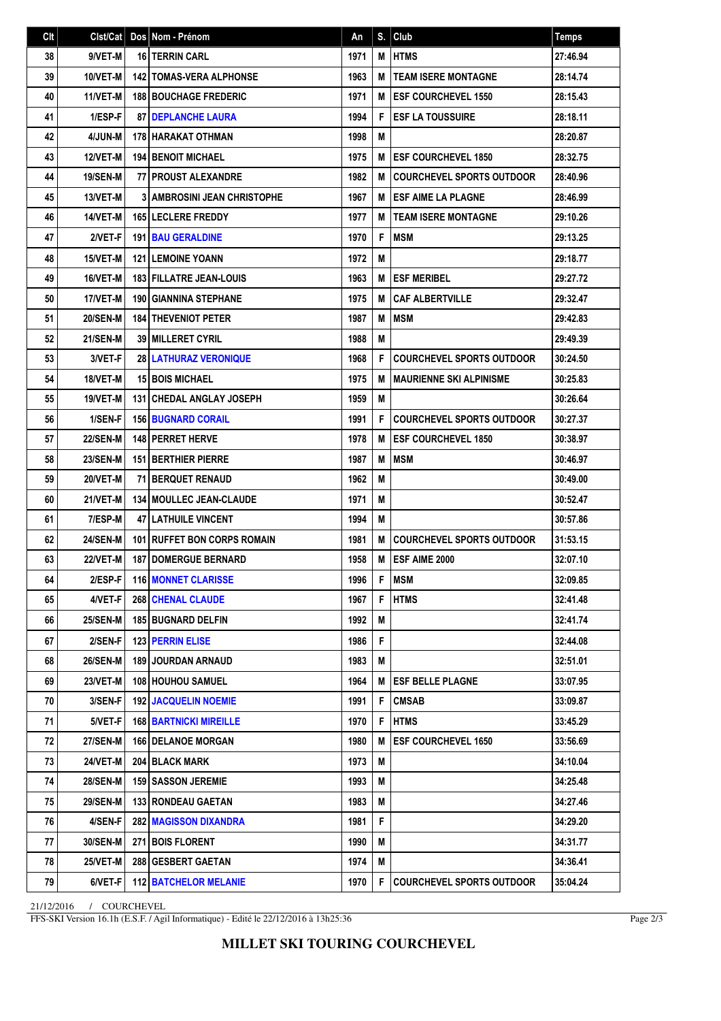| C <sub>It</sub> | Clst/Cat        | Dos Nom - Prénom                   | An   | S. | Club                             | <b>Temps</b> |
|-----------------|-----------------|------------------------------------|------|----|----------------------------------|--------------|
| 38              | 9/VET-M         | <b>16 TERRIN CARL</b>              | 1971 | M  | <b>HTMS</b>                      | 27:46.94     |
| 39              | 10/VET-M        | <b>142   TOMAS-VERA ALPHONSE</b>   | 1963 | M  | <b>TEAM ISERE MONTAGNE</b>       | 28:14.74     |
| 40              | 11/VET-M        | <b>188 BOUCHAGE FREDERIC</b>       | 1971 | M  | <b>ESF COURCHEVEL 1550</b>       | 28:15.43     |
| 41              | 1/ESP-F         | <b>87 DEPLANCHE LAURA</b>          | 1994 | F  | <b>ESF LA TOUSSUIRE</b>          | 28:18.11     |
| 42              | 4/JUN-M         | 178 HARAKAT OTHMAN                 | 1998 | M  |                                  | 28:20.87     |
| 43              | 12/VET-M        | <b>194   BENOIT MICHAEL</b>        | 1975 | M  | <b>IESF COURCHEVEL 1850</b>      | 28:32.75     |
| 44              | <b>19/SEN-M</b> | <b>77 I PROUST ALEXANDRE</b>       | 1982 | M  | <b>COURCHEVEL SPORTS OUTDOOR</b> | 28:40.96     |
| 45              | 13/VET-M        | <b>3 AMBROSINI JEAN CHRISTOPHE</b> | 1967 | М  | I ESF AIME LA PLAGNE             | 28:46.99     |
| 46              | 14/VET-M        | 165 LECLERE FREDDY                 | 1977 | M  | <b>TEAM ISERE MONTAGNE</b>       | 29:10.26     |
| 47              | 2/VET-F         | <b>191 BAU GERALDINE</b>           | 1970 | F  | <b>IMSM</b>                      | 29:13.25     |
| 48              | 15/VET-M        | <b>121 LEMOINE YOANN</b>           | 1972 | M  |                                  | 29:18.77     |
| 49              | 16/VET-M        | <b>183 FILLATRE JEAN-LOUIS</b>     | 1963 | M  | <b>ESF MERIBEL</b>               | 29:27.72     |
| 50              | 17/VET-M        | <b>190 GIANNINA STEPHANE</b>       | 1975 | М  | <b>CAF ALBERTVILLE</b>           | 29:32.47     |
| 51              | <b>20/SEN-M</b> | <b>184 THEVENIOT PETER</b>         | 1987 | M  | <b>IMSM</b>                      | 29:42.83     |
| 52              | <b>21/SEN-M</b> | <b>39 MILLERET CYRIL</b>           | 1988 | M  |                                  | 29:49.39     |
| 53              | 3/VET-F         | <b>28 LATHURAZ VERONIQUE</b>       | 1968 | F  | <b>COURCHEVEL SPORTS OUTDOOR</b> | 30:24.50     |
| 54              | 18/VET-M        | <b>15 BOIS MICHAEL</b>             | 1975 | M  | <b>MAURIENNE SKI ALPINISME</b>   | 30:25.83     |
| 55              | 19/VET-M        | <b>131 CHEDAL ANGLAY JOSEPH</b>    | 1959 | M  |                                  | 30:26.64     |
| 56              | 1/SEN-F         | <b>156 BUGNARD CORAIL</b>          | 1991 | F  | <b>COURCHEVEL SPORTS OUTDOOR</b> | 30:27.37     |
| 57              | <b>22/SEN-M</b> | 148 PERRET HERVE                   | 1978 | M  | <b>ESF COURCHEVEL 1850</b>       | 30:38.97     |
| 58              | <b>23/SEN-M</b> | <b>151 BERTHIER PIERRE</b>         | 1987 | M  | <b>MSM</b>                       | 30:46.97     |
| 59              | 20/VET-M        | 71 BERQUET RENAUD                  | 1962 | M  |                                  | 30:49.00     |
| 60              | 21/VET-M        | <b>134   MOULLEC JEAN-CLAUDE</b>   | 1971 | M  |                                  | 30:52.47     |
| 61              | 7/ESP-M         | <b>47 LATHUILE VINCENT</b>         | 1994 | M  |                                  | 30:57.86     |
| 62              | <b>24/SEN-M</b> | 101 RUFFET BON CORPS ROMAIN        | 1981 | M  | COURCHEVEL SPORTS OUTDOOR        | 31:53.15     |
| 63              | 22/VET-M        | <b>187 DOMERGUE BERNARD</b>        | 1958 | M  | <b>ESF AIME 2000</b>             | 32:07.10     |
| 64              | 2/ESP-F         | <b>116 MONNET CLARISSE</b>         | 1996 |    | F   MSM                          | 32:09.85     |
| 65              | 4/VET-F         | <b>268 CHENAL CLAUDE</b>           | 1967 | F  | <b>HTMS</b>                      | 32:41.48     |
| 66              | <b>25/SEN-M</b> | <b>185 BUGNARD DELFIN</b>          | 1992 | M  |                                  | 32:41.74     |
| 67              | 2/SEN-F         | <b>123 PERRIN ELISE</b>            | 1986 | F  |                                  | 32:44.08     |
| 68              | <b>26/SEN-M</b> | <b>189 JOURDAN ARNAUD</b>          | 1983 | M  |                                  | 32:51.01     |
| 69              | <b>23/VET-M</b> | <b>108   HOUHOU SAMUEL</b>         | 1964 | M  | <b>IESF BELLE PLAGNE</b>         | 33:07.95     |
| 70              | 3/SEN-F         | <b>192   JACQUELIN NOEMIE</b>      | 1991 | F  | <b>CMSAB</b>                     | 33:09.87     |
| 71              | 5/VET-F         | <b>168   BARTNICKI MIREILLE</b>    | 1970 | F  | <b>HTMS</b>                      | 33:45.29     |
| 72              | <b>27/SEN-M</b> | <b>166 DELANOE MORGAN</b>          | 1980 | M  | <b>ESF COURCHEVEL 1650</b>       | 33:56.69     |
| 73              | <b>24/VET-M</b> | 204   BLACK MARK                   | 1973 | Μ  |                                  | 34:10.04     |
| 74              | <b>28/SEN-M</b> | <b>159   SASSON JEREMIE</b>        | 1993 | М  |                                  | 34:25.48     |
| 75              | <b>29/SEN-M</b> | <b>133 RONDEAU GAETAN</b>          | 1983 | М  |                                  | 34:27.46     |
| 76              | 4/SEN-F         | <b>282   MAGISSON DIXANDRA</b>     | 1981 | F  |                                  | 34:29.20     |
| 77              | <b>30/SEN-M</b> | <b>271 BOIS FLORENT</b>            | 1990 | M  |                                  | 34:31.77     |
| 78              | <b>25/VET-M</b> | 288 GESBERT GAETAN                 | 1974 | М  |                                  | 34:36.41     |
| 79              | 6/VET-F         | <b>112 BATCHELOR MELANIE</b>       | 1970 | F  | COURCHEVEL SPORTS OUTDOOR        | 35:04.24     |

21/12/2016 / COURCHEVEL

FFS-SKI Version 16.1h (E.S.F. / Agil Informatique) - Edité le 22/12/2016 à 13h25:36

Page 2/3